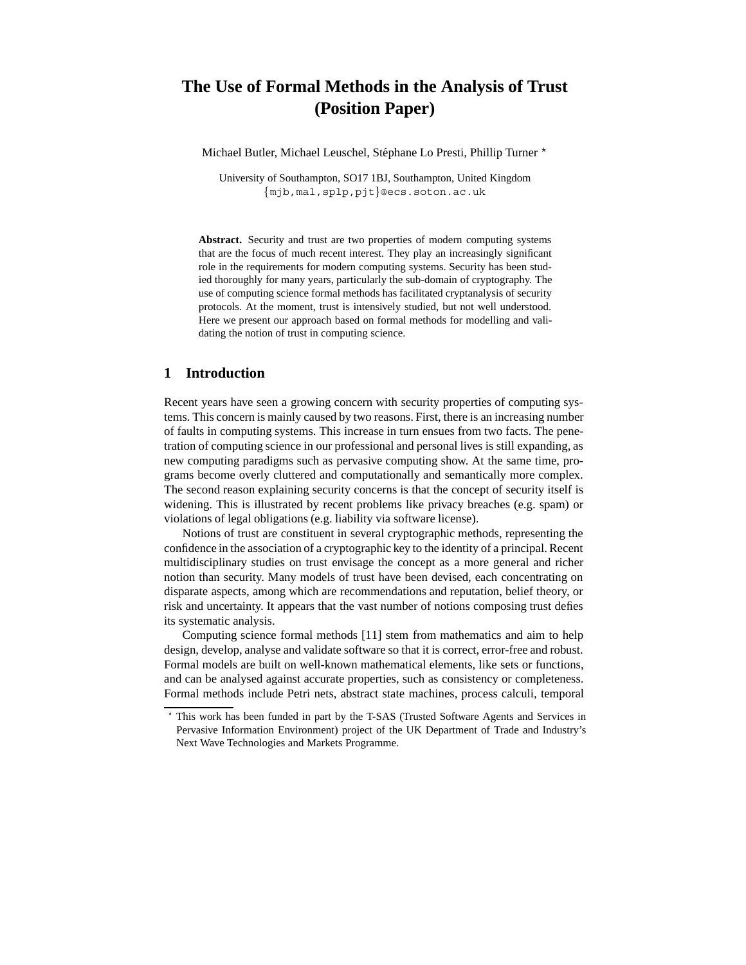# **The Use of Formal Methods in the Analysis of Trust (Position Paper)**

Michael Butler, Michael Leuschel, Stéphane Lo Presti, Phillip Turner \*

University of Southampton, SO17 1BJ, Southampton, United Kingdom mjb,mal,splp,pjt@ecs.soton.ac.uk

**Abstract.** Security and trust are two properties of modern computing systems that are the focus of much recent interest. They play an increasingly significant role in the requirements for modern computing systems. Security has been studied thoroughly for many years, particularly the sub-domain of cryptography. The use of computing science formal methods has facilitated cryptanalysis of security protocols. At the moment, trust is intensively studied, but not well understood. Here we present our approach based on formal methods for modelling and validating the notion of trust in computing science.

## **1 Introduction**

Recent years have seen a growing concern with security properties of computing systems. This concern is mainly caused by two reasons. First, there is an increasing number of faults in computing systems. This increase in turn ensues from two facts. The penetration of computing science in our professional and personal lives is still expanding, as new computing paradigms such as pervasive computing show. At the same time, programs become overly cluttered and computationally and semantically more complex. The second reason explaining security concerns is that the concept of security itself is widening. This is illustrated by recent problems like privacy breaches (e.g. spam) or violations of legal obligations (e.g. liability via software license).

Notions of trust are constituent in several cryptographic methods, representing the confidence in the association of a cryptographic key to the identity of a principal. Recent multidisciplinary studies on trust envisage the concept as a more general and richer notion than security. Many models of trust have been devised, each concentrating on disparate aspects, among which are recommendations and reputation, belief theory, or risk and uncertainty. It appears that the vast number of notions composing trust defies its systematic analysis.

Computing science formal methods [11] stem from mathematics and aim to help design, develop, analyse and validate software so that it is correct, error-free and robust. Formal models are built on well-known mathematical elements, like sets or functions, and can be analysed against accurate properties, such as consistency or completeness. Formal methods include Petri nets, abstract state machines, process calculi, temporal

This work has been funded in part by the T-SAS (Trusted Software Agents and Services in Pervasive Information Environment) project of the UK Department of Trade and Industry's Next Wave Technologies and Markets Programme.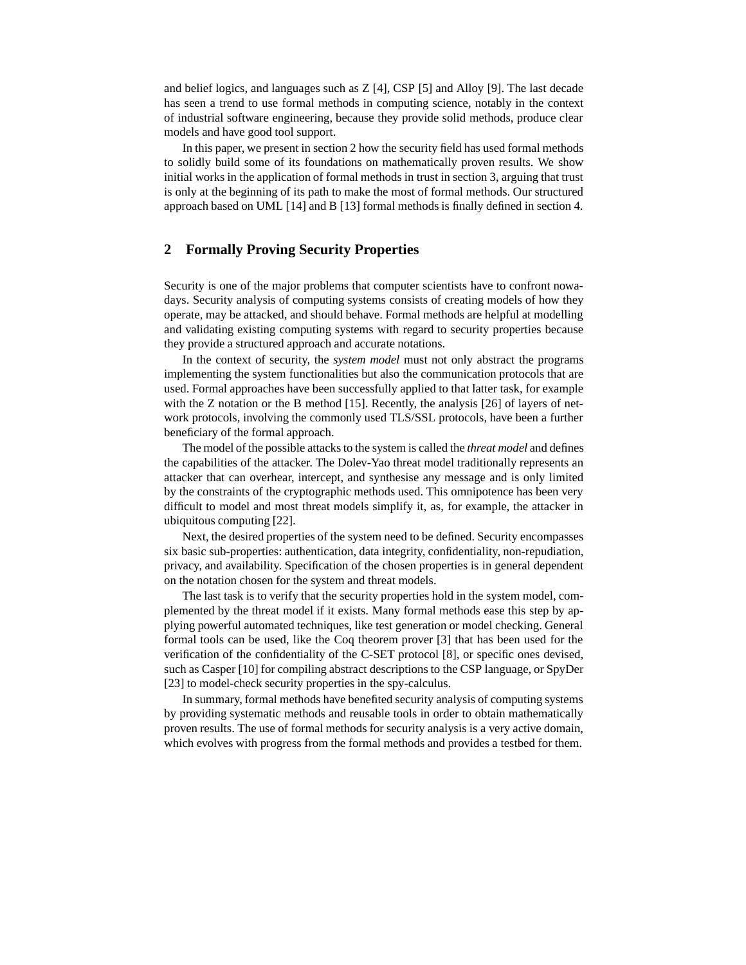and belief logics, and languages such as  $Z$  [4],  $CSP$  [5] and Alloy [9]. The last decade has seen a trend to use formal methods in computing science, notably in the context of industrial software engineering, because they provide solid methods, produce clear models and have good tool support.

In this paper, we present in section 2 how the security field has used formal methods to solidly build some of its foundations on mathematically proven results. We show initial works in the application of formal methods in trust in section 3, arguing that trust is only at the beginning of its path to make the most of formal methods. Our structured approach based on UML [14] and B [13] formal methods is finally defined in section 4.

# **2 Formally Proving Security Properties**

Security is one of the major problems that computer scientists have to confront nowadays. Security analysis of computing systems consists of creating models of how they operate, may be attacked, and should behave. Formal methods are helpful at modelling and validating existing computing systems with regard to security properties because they provide a structured approach and accurate notations.

In the context of security, the *system model* must not only abstract the programs implementing the system functionalities but also the communication protocols that are used. Formal approaches have been successfully applied to that latter task, for example with the Z notation or the B method [15]. Recently, the analysis [26] of layers of network protocols, involving the commonly used TLS/SSL protocols, have been a further beneficiary of the formal approach.

The model of the possible attacks to the system is called the *threat model* and defines the capabilities of the attacker. The Dolev-Yao threat model traditionally represents an attacker that can overhear, intercept, and synthesise any message and is only limited by the constraints of the cryptographic methods used. This omnipotence has been very difficult to model and most threat models simplify it, as, for example, the attacker in ubiquitous computing [22].

Next, the desired properties of the system need to be defined. Security encompasses six basic sub-properties: authentication, data integrity, confidentiality, non-repudiation, privacy, and availability. Specification of the chosen properties is in general dependent on the notation chosen for the system and threat models.

The last task is to verify that the security properties hold in the system model, complemented by the threat model if it exists. Many formal methods ease this step by applying powerful automated techniques, like test generation or model checking. General formal tools can be used, like the Coq theorem prover [3] that has been used for the verification of the confidentiality of the C-SET protocol [8], or specific ones devised, such as Casper [10] for compiling abstract descriptions to the CSP language, or SpyDer [23] to model-check security properties in the spy-calculus.

In summary, formal methods have benefited security analysis of computing systems by providing systematic methods and reusable tools in order to obtain mathematically proven results. The use of formal methods for security analysis is a very active domain, which evolves with progress from the formal methods and provides a testbed for them.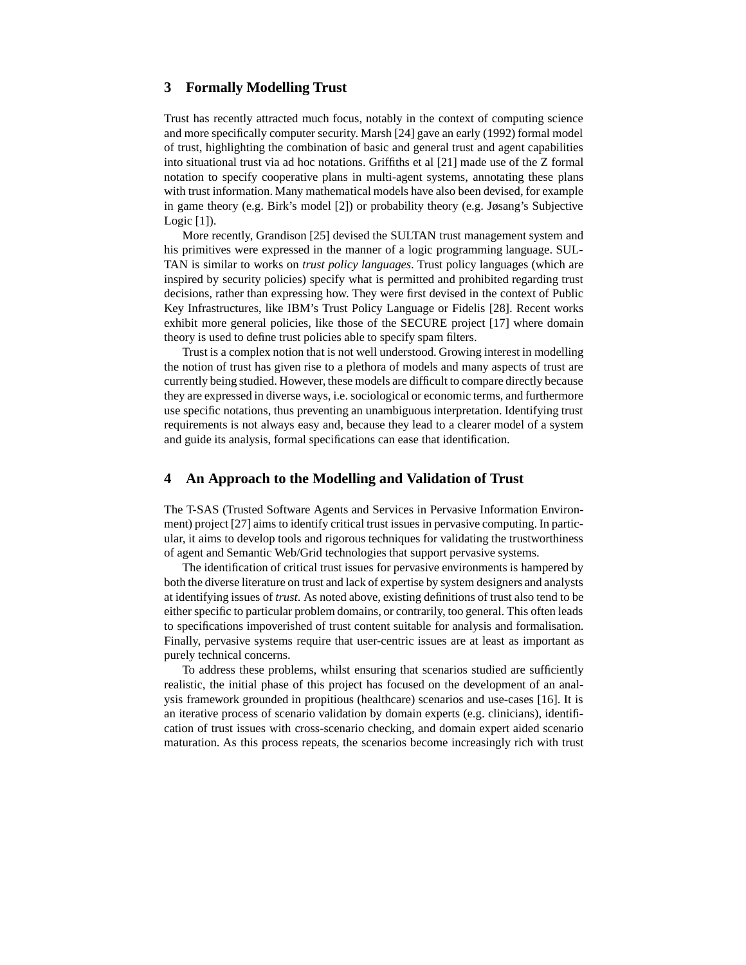# **3 Formally Modelling Trust**

Trust has recently attracted much focus, notably in the context of computing science and more specifically computer security. Marsh [24] gave an early (1992) formal model of trust, highlighting the combination of basic and general trust and agent capabilities into situational trust via ad hoc notations. Griffiths et al [21] made use of the Z formal notation to specify cooperative plans in multi-agent systems, annotating these plans with trust information. Many mathematical models have also been devised, for example in game theory (e.g. Birk's model [2]) or probability theory (e.g. Jøsang's Subjective Logic [1]).

More recently, Grandison [25] devised the SULTAN trust management system and his primitives were expressed in the manner of a logic programming language. SUL-TAN is similar to works on *trust policy languages*. Trust policy languages (which are inspired by security policies) specify what is permitted and prohibited regarding trust decisions, rather than expressing how. They were first devised in the context of Public Key Infrastructures, like IBM's Trust Policy Language or Fidelis [28]. Recent works exhibit more general policies, like those of the SECURE project [17] where domain theory is used to define trust policies able to specify spam filters.

Trust is a complex notion that is not well understood. Growing interest in modelling the notion of trust has given rise to a plethora of models and many aspects of trust are currently being studied. However, these models are difficult to compare directly because they are expressed in diverse ways, i.e. sociological or economic terms, and furthermore use specific notations, thus preventing an unambiguous interpretation. Identifying trust requirements is not always easy and, because they lead to a clearer model of a system and guide its analysis, formal specifications can ease that identification.

## **4 An Approach to the Modelling and Validation of Trust**

The T-SAS (Trusted Software Agents and Services in Pervasive Information Environment) project [27] aims to identify critical trust issues in pervasive computing. In particular, it aims to develop tools and rigorous techniques for validating the trustworthiness of agent and Semantic Web/Grid technologies that support pervasive systems.

The identification of critical trust issues for pervasive environments is hampered by both the diverse literature on trust and lack of expertise by system designers and analysts at identifying issues of *trust*. As noted above, existing definitions of trust also tend to be either specific to particular problem domains, or contrarily, too general. This often leads to specifications impoverished of trust content suitable for analysis and formalisation. Finally, pervasive systems require that user-centric issues are at least as important as purely technical concerns.

To address these problems, whilst ensuring that scenarios studied are sufficiently realistic, the initial phase of this project has focused on the development of an analysis framework grounded in propitious (healthcare) scenarios and use-cases [16]. It is an iterative process of scenario validation by domain experts (e.g. clinicians), identification of trust issues with cross-scenario checking, and domain expert aided scenario maturation. As this process repeats, the scenarios become increasingly rich with trust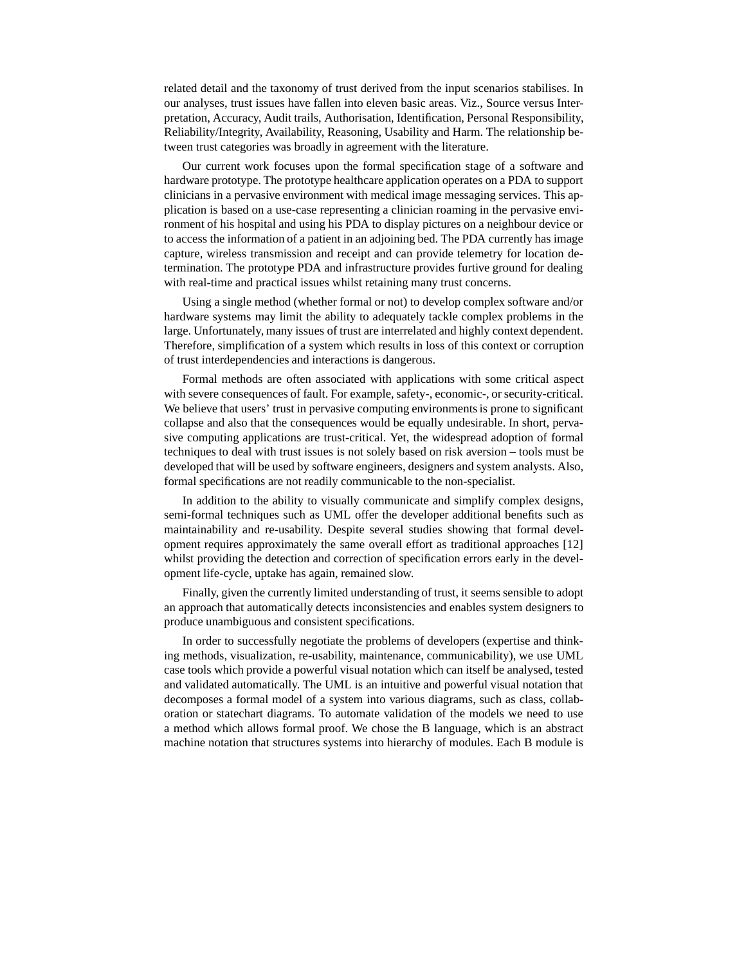related detail and the taxonomy of trust derived from the input scenarios stabilises. In our analyses, trust issues have fallen into eleven basic areas. Viz., Source versus Interpretation, Accuracy, Audit trails, Authorisation, Identification, Personal Responsibility, Reliability/Integrity, Availability, Reasoning, Usability and Harm. The relationship between trust categories was broadly in agreement with the literature.

Our current work focuses upon the formal specification stage of a software and hardware prototype. The prototype healthcare application operates on a PDA to support clinicians in a pervasive environment with medical image messaging services. This application is based on a use-case representing a clinician roaming in the pervasive environment of his hospital and using his PDA to display pictures on a neighbour device or to access the information of a patient in an adjoining bed. The PDA currently has image capture, wireless transmission and receipt and can provide telemetry for location determination. The prototype PDA and infrastructure provides furtive ground for dealing with real-time and practical issues whilst retaining many trust concerns.

Using a single method (whether formal or not) to develop complex software and/or hardware systems may limit the ability to adequately tackle complex problems in the large. Unfortunately, many issues of trust are interrelated and highly context dependent. Therefore, simplification of a system which results in loss of this context or corruption of trust interdependencies and interactions is dangerous.

Formal methods are often associated with applications with some critical aspect with severe consequences of fault. For example, safety-, economic-, or security-critical. We believe that users' trust in pervasive computing environments is prone to significant collapse and also that the consequences would be equally undesirable. In short, pervasive computing applications are trust-critical. Yet, the widespread adoption of formal techniques to deal with trust issues is not solely based on risk aversion – tools must be developed that will be used by software engineers, designers and system analysts. Also, formal specifications are not readily communicable to the non-specialist.

In addition to the ability to visually communicate and simplify complex designs, semi-formal techniques such as UML offer the developer additional benefits such as maintainability and re-usability. Despite several studies showing that formal development requires approximately the same overall effort as traditional approaches [12] whilst providing the detection and correction of specification errors early in the development life-cycle, uptake has again, remained slow.

Finally, given the currently limited understanding of trust, it seems sensible to adopt an approach that automatically detects inconsistencies and enables system designers to produce unambiguous and consistent specifications.

In order to successfully negotiate the problems of developers (expertise and thinking methods, visualization, re-usability, maintenance, communicability), we use UML case tools which provide a powerful visual notation which can itself be analysed, tested and validated automatically. The UML is an intuitive and powerful visual notation that decomposes a formal model of a system into various diagrams, such as class, collaboration or statechart diagrams. To automate validation of the models we need to use a method which allows formal proof. We chose the B language, which is an abstract machine notation that structures systems into hierarchy of modules. Each B module is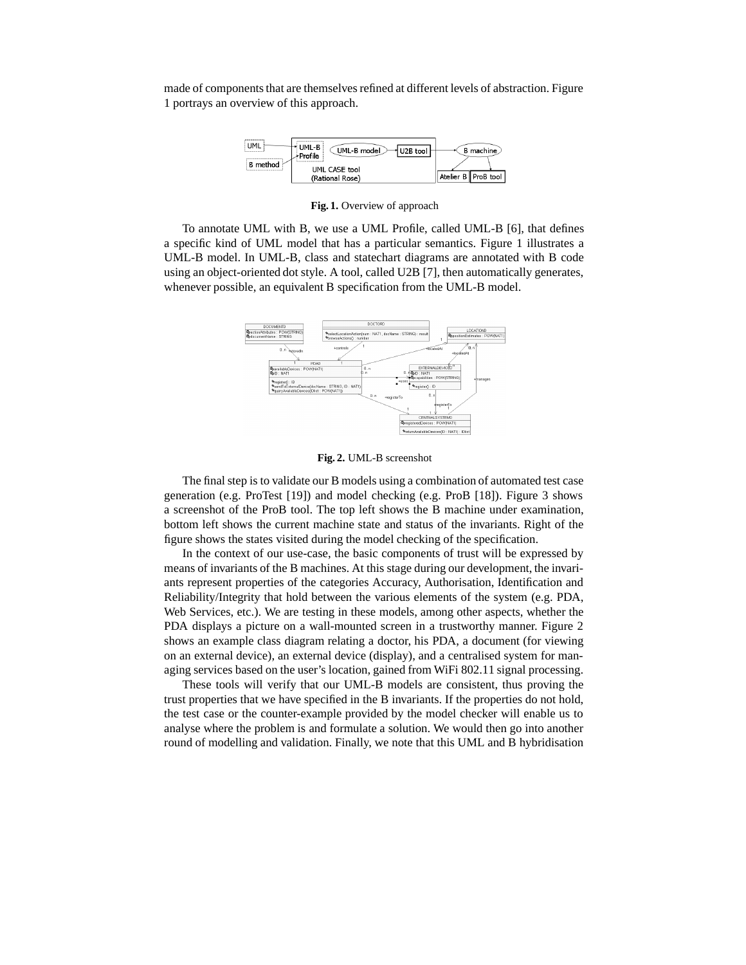made of components that are themselves refined at different levels of abstraction. Figure 1 portrays an overview of this approach.



**Fig. 1.** Overview of approach

To annotate UML with B, we use a UML Profile, called UML-B [6], that defines a specific kind of UML model that has a particular semantics. Figure 1 illustrates a UML-B model. In UML-B, class and statechart diagrams are annotated with B code using an object-oriented dot style. A tool, called U2B [7], then automatically generates, whenever possible, an equivalent B specification from the UML-B model.



**Fig. 2.** UML-B screenshot

The final step is to validate our B models using a combination of automated test case generation (e.g. ProTest [19]) and model checking (e.g. ProB [18]). Figure 3 shows a screenshot of the ProB tool. The top left shows the B machine under examination, bottom left shows the current machine state and status of the invariants. Right of the figure shows the states visited during the model checking of the specification.

In the context of our use-case, the basic components of trust will be expressed by means of invariants of the B machines. At this stage during our development, the invariants represent properties of the categories Accuracy, Authorisation, Identification and Reliability/Integrity that hold between the various elements of the system (e.g. PDA, Web Services, etc.). We are testing in these models, among other aspects, whether the PDA displays a picture on a wall-mounted screen in a trustworthy manner. Figure 2 shows an example class diagram relating a doctor, his PDA, a document (for viewing on an external device), an external device (display), and a centralised system for managing services based on the user's location, gained from WiFi 802.11 signal processing.

These tools will verify that our UML-B models are consistent, thus proving the trust properties that we have specified in the B invariants. If the properties do not hold, the test case or the counter-example provided by the model checker will enable us to analyse where the problem is and formulate a solution. We would then go into another round of modelling and validation. Finally, we note that this UML and B hybridisation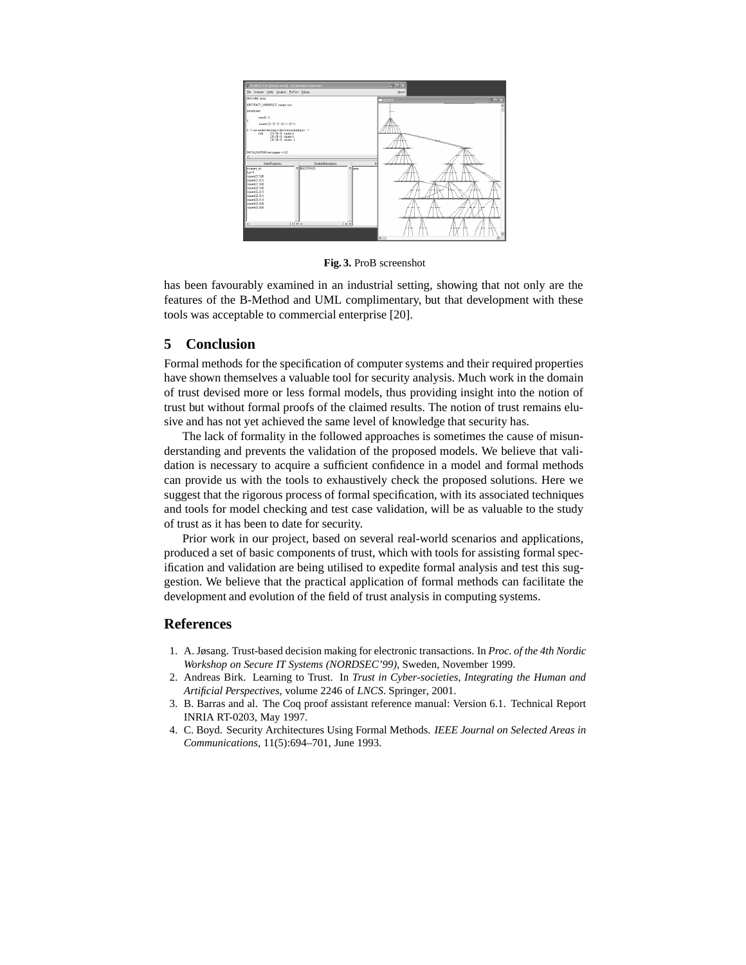

**Fig. 3.** ProB screenshot

has been favourably examined in an industrial setting, showing that not only are the features of the B-Method and UML complimentary, but that development with these tools was acceptable to commercial enterprise [20].

### **5 Conclusion**

Formal methods for the specification of computer systems and their required properties have shown themselves a valuable tool for security analysis. Much work in the domain of trust devised more or less formal models, thus providing insight into the notion of trust but without formal proofs of the claimed results. The notion of trust remains elusive and has not yet achieved the same level of knowledge that security has.

The lack of formality in the followed approaches is sometimes the cause of misunderstanding and prevents the validation of the proposed models. We believe that validation is necessary to acquire a sufficient confidence in a model and formal methods can provide us with the tools to exhaustively check the proposed solutions. Here we suggest that the rigorous process of formal specification, with its associated techniques and tools for model checking and test case validation, will be as valuable to the study of trust as it has been to date for security.

Prior work in our project, based on several real-world scenarios and applications, produced a set of basic components of trust, which with tools for assisting formal specification and validation are being utilised to expedite formal analysis and test this suggestion. We believe that the practical application of formal methods can facilitate the development and evolution of the field of trust analysis in computing systems.

#### **References**

- 1. A. Jøsang. Trust-based decision making for electronic transactions. In *Proc. of the 4th Nordic Workshop on Secure IT Systems (NORDSEC'99)*, Sweden, November 1999.
- 2. Andreas Birk. Learning to Trust. In *Trust in Cyber-societies, Integrating the Human and Artificial Perspectives*, volume 2246 of *LNCS*. Springer, 2001.
- 3. B. Barras and al. The Coq proof assistant reference manual: Version 6.1. Technical Report INRIA RT-0203, May 1997.
- 4. C. Boyd. Security Architectures Using Formal Methods. *IEEE Journal on Selected Areas in Communications*, 11(5):694–701, June 1993.